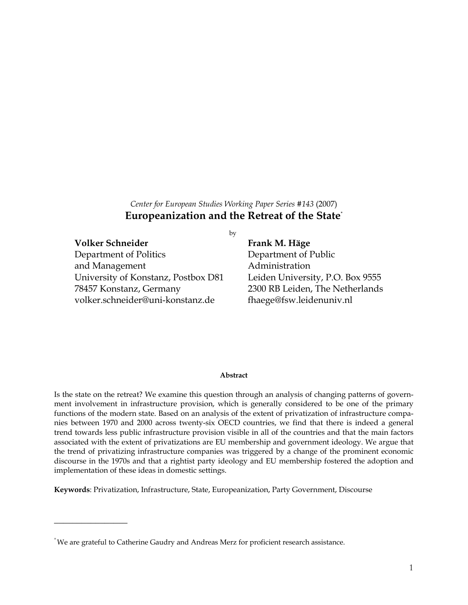# *Center for European Studies Working Paper Series #143* (2007) **Europeanization and the Retreat of the State\***

## **Volker Schneider Frank M. Häge**

 $\overline{\phantom{a}}$  , where  $\overline{\phantom{a}}$ 

Department of Politics Department of Public and Management **Administration** University of Konstanz, Postbox D81 Leiden University, P.O. Box 9555 78457 Konstanz, Germany 2300 RB Leiden, The Netherlands volker.schneider@uni-konstanz.de fhaege@fsw.leidenuniv.nl

## by

#### **Abstract**

Is the state on the retreat? We examine this question through an analysis of changing patterns of government involvement in infrastructure provision, which is generally considered to be one of the primary functions of the modern state. Based on an analysis of the extent of privatization of infrastructure companies between 1970 and 2000 across twenty-six OECD countries, we find that there is indeed a general trend towards less public infrastructure provision visible in all of the countries and that the main factors associated with the extent of privatizations are EU membership and government ideology. We argue that the trend of privatizing infrastructure companies was triggered by a change of the prominent economic discourse in the 1970s and that a rightist party ideology and EU membership fostered the adoption and implementation of these ideas in domestic settings.

**Keywords**: Privatization, Infrastructure, State, Europeanization, Party Government, Discourse

<sup>\*</sup> We are grateful to Catherine Gaudry and Andreas Merz for proficient research assistance.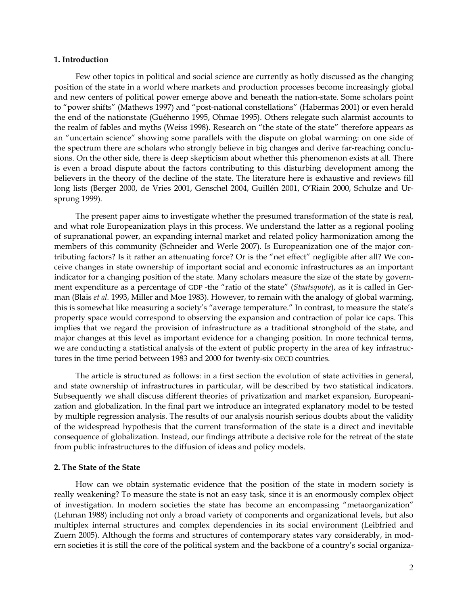### **1. Introduction**

Few other topics in political and social science are currently as hotly discussed as the changing position of the state in a world where markets and production processes become increasingly global and new centers of political power emerge above and beneath the nation-state. Some scholars point to "power shifts" (Mathews 1997) and "post-national constellations" (Habermas 2001) or even herald the end of the nationstate (Guéhenno 1995, Ohmae 1995). Others relegate such alarmist accounts to the realm of fables and myths (Weiss 1998). Research on "the state of the state" therefore appears as an "uncertain science" showing some parallels with the dispute on global warming: on one side of the spectrum there are scholars who strongly believe in big changes and derive far-reaching conclusions. On the other side, there is deep skepticism about whether this phenomenon exists at all. There is even a broad dispute about the factors contributing to this disturbing development among the believers in the theory of the decline of the state. The literature here is exhaustive and reviews fill long lists (Berger 2000, de Vries 2001, Genschel 2004, Guillén 2001, O'Riain 2000, Schulze and Ursprung 1999).

The present paper aims to investigate whether the presumed transformation of the state is real, and what role Europeanization plays in this process. We understand the latter as a regional pooling of supranational power, an expanding internal market and related policy harmonization among the members of this community (Schneider and Werle 2007). Is Europeanization one of the major contributing factors? Is it rather an attenuating force? Or is the "net effect" negligible after all? We conceive changes in state ownership of important social and economic infrastructures as an important indicator for a changing position of the state. Many scholars measure the size of the state by government expenditure as a percentage of GDP -the "ratio of the state" (*Staatsquote*), as it is called in German (Blais *et al.* 1993, Miller and Moe 1983). However, to remain with the analogy of global warming, this is somewhat like measuring a society's "average temperature." In contrast, to measure the state's property space would correspond to observing the expansion and contraction of polar ice caps. This implies that we regard the provision of infrastructure as a traditional stronghold of the state, and major changes at this level as important evidence for a changing position. In more technical terms, we are conducting a statistical analysis of the extent of public property in the area of key infrastructures in the time period between 1983 and 2000 for twenty-six OECD countries.

The article is structured as follows: in a first section the evolution of state activities in general, and state ownership of infrastructures in particular, will be described by two statistical indicators. Subsequently we shall discuss different theories of privatization and market expansion, Europeanization and globalization. In the final part we introduce an integrated explanatory model to be tested by multiple regression analysis. The results of our analysis nourish serious doubts about the validity of the widespread hypothesis that the current transformation of the state is a direct and inevitable consequence of globalization. Instead, our findings attribute a decisive role for the retreat of the state from public infrastructures to the diffusion of ideas and policy models.

### **2. The State of the State**

How can we obtain systematic evidence that the position of the state in modern society is really weakening? To measure the state is not an easy task, since it is an enormously complex object of investigation. In modern societies the state has become an encompassing "metaorganization" (Lehman 1988) including not only a broad variety of components and organizational levels, but also multiplex internal structures and complex dependencies in its social environment (Leibfried and Zuern 2005). Although the forms and structures of contemporary states vary considerably, in modern societies it is still the core of the political system and the backbone of a country's social organiza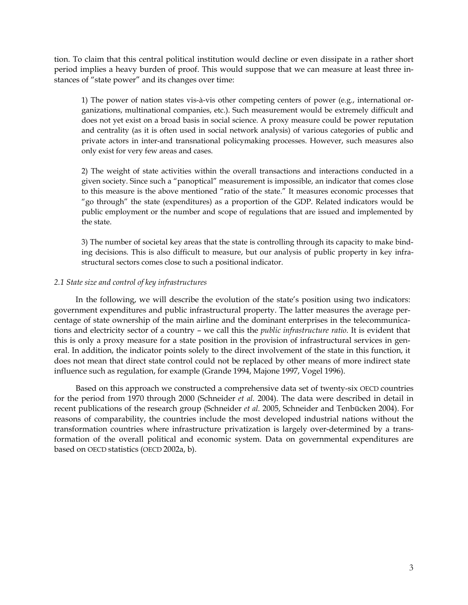tion. To claim that this central political institution would decline or even dissipate in a rather short period implies a heavy burden of proof. This would suppose that we can measure at least three instances of "state power" and its changes over time:

1) The power of nation states vis-à-vis other competing centers of power (e.g., international organizations, multinational companies, etc.). Such measurement would be extremely difficult and does not yet exist on a broad basis in social science. A proxy measure could be power reputation and centrality (as it is often used in social network analysis) of various categories of public and private actors in inter-and transnational policymaking processes. However, such measures also only exist for very few areas and cases.

2) The weight of state activities within the overall transactions and interactions conducted in a given society. Since such a "panoptical" measurement is impossible, an indicator that comes close to this measure is the above mentioned "ratio of the state." It measures economic processes that "go through" the state (expenditures) as a proportion of the GDP. Related indicators would be public employment or the number and scope of regulations that are issued and implemented by the state.

3) The number of societal key areas that the state is controlling through its capacity to make binding decisions. This is also difficult to measure, but our analysis of public property in key infrastructural sectors comes close to such a positional indicator.

## *2.1 State size and control of key infrastructures*

In the following, we will describe the evolution of the state's position using two indicators: government expenditures and public infrastructural property. The latter measures the average percentage of state ownership of the main airline and the dominant enterprises in the telecommunications and electricity sector of a country – we call this the *public infrastructure ratio.* It is evident that this is only a proxy measure for a state position in the provision of infrastructural services in general. In addition, the indicator points solely to the direct involvement of the state in this function, it does not mean that direct state control could not be replaced by other means of more indirect state influence such as regulation, for example (Grande 1994, Majone 1997, Vogel 1996).

Based on this approach we constructed a comprehensive data set of twenty-six OECD countries for the period from 1970 through 2000 (Schneider *et al.* 2004). The data were described in detail in recent publications of the research group (Schneider *et al.* 2005, Schneider and Tenbücken 2004). For reasons of comparability, the countries include the most developed industrial nations without the transformation countries where infrastructure privatization is largely over-determined by a transformation of the overall political and economic system. Data on governmental expenditures are based on OECD statistics (OECD 2002a, b).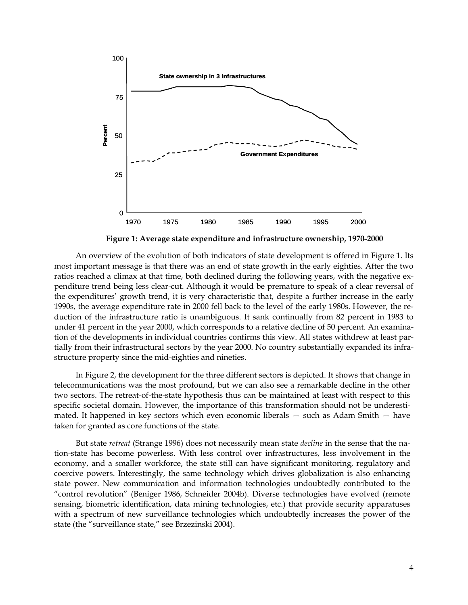

**Figure 1: Average state expenditure and infrastructure ownership, 1970-2000**

An overview of the evolution of both indicators of state development is offered in Figure 1. Its most important message is that there was an end of state growth in the early eighties. After the two ratios reached a climax at that time, both declined during the following years, with the negative expenditure trend being less clear-cut. Although it would be premature to speak of a clear reversal of the expenditures' growth trend, it is very characteristic that, despite a further increase in the early 1990s, the average expenditure rate in 2000 fell back to the level of the early 1980s. However, the reduction of the infrastructure ratio is unambiguous. It sank continually from 82 percent in 1983 to under 41 percent in the year 2000, which corresponds to a relative decline of 50 percent. An examination of the developments in individual countries confirms this view. All states withdrew at least partially from their infrastructural sectors by the year 2000. No country substantially expanded its infrastructure property since the mid-eighties and nineties.

In Figure 2, the development for the three different sectors is depicted. It shows that change in telecommunications was the most profound, but we can also see a remarkable decline in the other two sectors. The retreat-of-the-state hypothesis thus can be maintained at least with respect to this specific societal domain. However, the importance of this transformation should not be underestimated. It happened in key sectors which even economic liberals — such as Adam Smith — have taken for granted as core functions of the state.

But state *retreat* (Strange 1996) does not necessarily mean state *decline* in the sense that the nation-state has become powerless. With less control over infrastructures, less involvement in the economy, and a smaller workforce, the state still can have significant monitoring, regulatory and coercive powers. Interestingly, the same technology which drives globalization is also enhancing state power. New communication and information technologies undoubtedly contributed to the "control revolution" (Beniger 1986, Schneider 2004b). Diverse technologies have evolved (remote sensing, biometric identification, data mining technologies, etc.) that provide security apparatuses with a spectrum of new surveillance technologies which undoubtedly increases the power of the state (the "surveillance state," see Brzezinski 2004).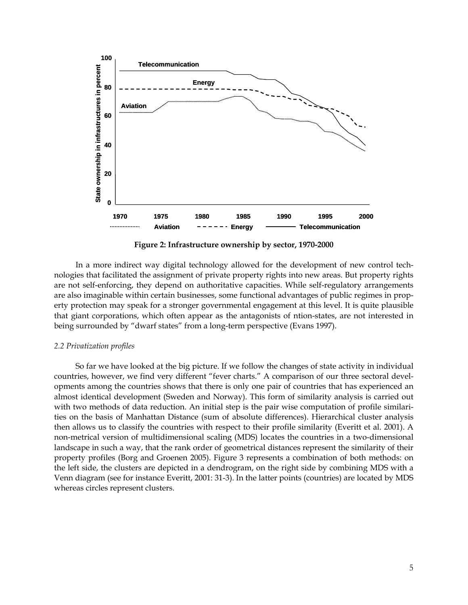

**Figure 2: Infrastructure ownership by sector, 1970-2000** 

In a more indirect way digital technology allowed for the development of new control technologies that facilitated the assignment of private property rights into new areas. But property rights are not self-enforcing, they depend on authoritative capacities. While self-regulatory arrangements are also imaginable within certain businesses, some functional advantages of public regimes in property protection may speak for a stronger governmental engagement at this level. It is quite plausible that giant corporations, which often appear as the antagonists of ntion-states, are not interested in being surrounded by "dwarf states" from a long-term perspective (Evans 1997).

### *2.2 Privatization profiles*

So far we have looked at the big picture. If we follow the changes of state activity in individual countries, however, we find very different "fever charts." A comparison of our three sectoral developments among the countries shows that there is only one pair of countries that has experienced an almost identical development (Sweden and Norway). This form of similarity analysis is carried out with two methods of data reduction. An initial step is the pair wise computation of profile similarities on the basis of Manhattan Distance (sum of absolute differences). Hierarchical cluster analysis then allows us to classify the countries with respect to their profile similarity (Everitt et al. 2001). A non-metrical version of multidimensional scaling (MDS) locates the countries in a two-dimensional landscape in such a way, that the rank order of geometrical distances represent the similarity of their property profiles (Borg and Groenen 2005). Figure 3 represents a combination of both methods: on the left side, the clusters are depicted in a dendrogram, on the right side by combining MDS with a Venn diagram (see for instance Everitt, 2001: 31-3). In the latter points (countries) are located by MDS whereas circles represent clusters.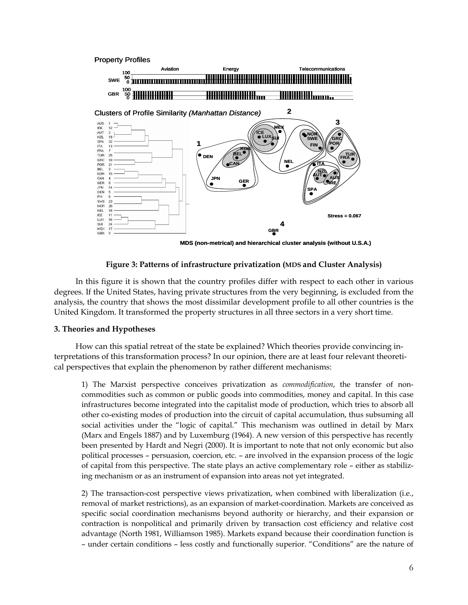





**MDS (non-metrical) and hierarchical cluster analysis (without U.S.A.)**

## **Figure 3: Patterns of infrastructure privatization (MDS and Cluster Analysis)**

In this figure it is shown that the country profiles differ with respect to each other in various degrees. If the United States, having private structures from the very beginning, is excluded from the analysis, the country that shows the most dissimilar development profile to all other countries is the United Kingdom. It transformed the property structures in all three sectors in a very short time.

## **3. Theories and Hypotheses**

How can this spatial retreat of the state be explained? Which theories provide convincing interpretations of this transformation process? In our opinion, there are at least four relevant theoretical perspectives that explain the phenomenon by rather different mechanisms:

1) The Marxist perspective conceives privatization as *commodification*, the transfer of noncommodities such as common or public goods into commodities, money and capital. In this case infrastructures become integrated into the capitalist mode of production, which tries to absorb all other co-existing modes of production into the circuit of capital accumulation, thus subsuming all social activities under the "logic of capital." This mechanism was outlined in detail by Marx (Marx and Engels 1887) and by Luxemburg (1964). A new version of this perspective has recently been presented by Hardt and Negri (2000). It is important to note that not only economic but also political processes – persuasion, coercion, etc. – are involved in the expansion process of the logic of capital from this perspective. The state plays an active complementary role – either as stabilizing mechanism or as an instrument of expansion into areas not yet integrated.

2) The transaction-cost perspective views privatization, when combined with liberalization (i.e., removal of market restrictions), as an expansion of market-coordination. Markets are conceived as specific social coordination mechanisms beyond authority or hierarchy, and their expansion or contraction is nonpolitical and primarily driven by transaction cost efficiency and relative cost advantage (North 1981, Williamson 1985). Markets expand because their coordination function is – under certain conditions – less costly and functionally superior. "Conditions" are the nature of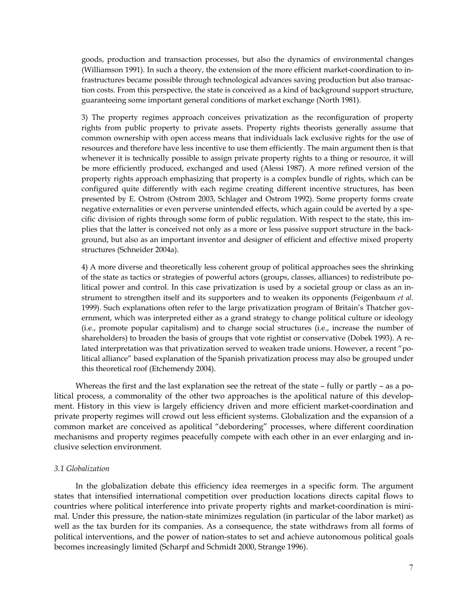goods, production and transaction processes, but also the dynamics of environmental changes (Williamson 1991). In such a theory, the extension of the more efficient market-coordination to infrastructures became possible through technological advances saving production but also transaction costs. From this perspective, the state is conceived as a kind of background support structure, guaranteeing some important general conditions of market exchange (North 1981).

3) The property regimes approach conceives privatization as the reconfiguration of property rights from public property to private assets. Property rights theorists generally assume that common ownership with open access means that individuals lack exclusive rights for the use of resources and therefore have less incentive to use them efficiently. The main argument then is that whenever it is technically possible to assign private property rights to a thing or resource, it will be more efficiently produced, exchanged and used (Alessi 1987). A more refined version of the property rights approach emphasizing that property is a complex bundle of rights, which can be configured quite differently with each regime creating different incentive structures, has been presented by E. Ostrom (Ostrom 2003, Schlager and Ostrom 1992). Some property forms create negative externalities or even perverse unintended effects, which again could be averted by a specific division of rights through some form of public regulation. With respect to the state, this implies that the latter is conceived not only as a more or less passive support structure in the background, but also as an important inventor and designer of efficient and effective mixed property structures (Schneider 2004a).

4) A more diverse and theoretically less coherent group of political approaches sees the shrinking of the state as tactics or strategies of powerful actors (groups, classes, alliances) to redistribute political power and control. In this case privatization is used by a societal group or class as an instrument to strengthen itself and its supporters and to weaken its opponents (Feigenbaum *et al.*  1999). Such explanations often refer to the large privatization program of Britain's Thatcher government, which was interpreted either as a grand strategy to change political culture or ideology (i.e., promote popular capitalism) and to change social structures (i.e., increase the number of shareholders) to broaden the basis of groups that vote rightist or conservative (Dobek 1993). A related interpretation was that privatization served to weaken trade unions. However, a recent "political alliance" based explanation of the Spanish privatization process may also be grouped under this theoretical roof (Etchemendy 2004).

Whereas the first and the last explanation see the retreat of the state – fully or partly – as a political process, a commonality of the other two approaches is the apolitical nature of this development. History in this view is largely efficiency driven and more efficient market-coordination and private property regimes will crowd out less efficient systems. Globalization and the expansion of a common market are conceived as apolitical "debordering" processes, where different coordination mechanisms and property regimes peacefully compete with each other in an ever enlarging and inclusive selection environment.

## *3.1 Globalization*

In the globalization debate this efficiency idea reemerges in a specific form. The argument states that intensified international competition over production locations directs capital flows to countries where political interference into private property rights and market-coordination is minimal. Under this pressure, the nation-state minimizes regulation (in particular of the labor market) as well as the tax burden for its companies. As a consequence, the state withdraws from all forms of political interventions, and the power of nation-states to set and achieve autonomous political goals becomes increasingly limited (Scharpf and Schmidt 2000, Strange 1996).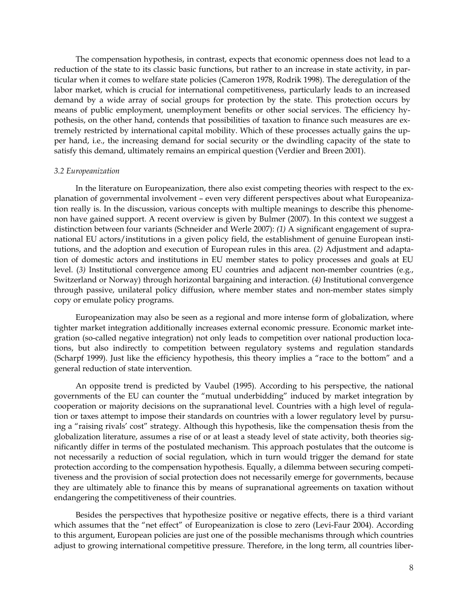The compensation hypothesis, in contrast, expects that economic openness does not lead to a reduction of the state to its classic basic functions, but rather to an increase in state activity, in particular when it comes to welfare state policies (Cameron 1978, Rodrik 1998). The deregulation of the labor market, which is crucial for international competitiveness, particularly leads to an increased demand by a wide array of social groups for protection by the state. This protection occurs by means of public employment, unemployment benefits or other social services. The efficiency hypothesis, on the other hand, contends that possibilities of taxation to finance such measures are extremely restricted by international capital mobility. Which of these processes actually gains the upper hand, i.e., the increasing demand for social security or the dwindling capacity of the state to satisfy this demand, ultimately remains an empirical question (Verdier and Breen 2001).

#### *3.2 Europeanization*

In the literature on Europeanization, there also exist competing theories with respect to the explanation of governmental involvement – even very different perspectives about what Europeanization really is. In the discussion, various concepts with multiple meanings to describe this phenomenon have gained support. A recent overview is given by Bulmer (2007). In this context we suggest a distinction between four variants (Schneider and Werle 2007): *(1)* A significant engagement of supranational EU actors/institutions in a given policy field, the establishment of genuine European institutions, and the adoption and execution of European rules in this area. (*2)* Adjustment and adaptation of domestic actors and institutions in EU member states to policy processes and goals at EU level. (*3)* Institutional convergence among EU countries and adjacent non-member countries (e.g., Switzerland or Norway) through horizontal bargaining and interaction. (*4)* Institutional convergence through passive, unilateral policy diffusion, where member states and non-member states simply copy or emulate policy programs.

Europeanization may also be seen as a regional and more intense form of globalization, where tighter market integration additionally increases external economic pressure. Economic market integration (so-called negative integration) not only leads to competition over national production locations, but also indirectly to competition between regulatory systems and regulation standards (Scharpf 1999). Just like the efficiency hypothesis, this theory implies a "race to the bottom" and a general reduction of state intervention.

An opposite trend is predicted by Vaubel (1995). According to his perspective, the national governments of the EU can counter the "mutual underbidding" induced by market integration by cooperation or majority decisions on the supranational level. Countries with a high level of regulation or taxes attempt to impose their standards on countries with a lower regulatory level by pursuing a "raising rivals' cost" strategy. Although this hypothesis, like the compensation thesis from the globalization literature, assumes a rise of or at least a steady level of state activity, both theories significantly differ in terms of the postulated mechanism. This approach postulates that the outcome is not necessarily a reduction of social regulation, which in turn would trigger the demand for state protection according to the compensation hypothesis. Equally, a dilemma between securing competitiveness and the provision of social protection does not necessarily emerge for governments, because they are ultimately able to finance this by means of supranational agreements on taxation without endangering the competitiveness of their countries.

Besides the perspectives that hypothesize positive or negative effects, there is a third variant which assumes that the "net effect" of Europeanization is close to zero (Levi-Faur 2004). According to this argument, European policies are just one of the possible mechanisms through which countries adjust to growing international competitive pressure. Therefore, in the long term, all countries liber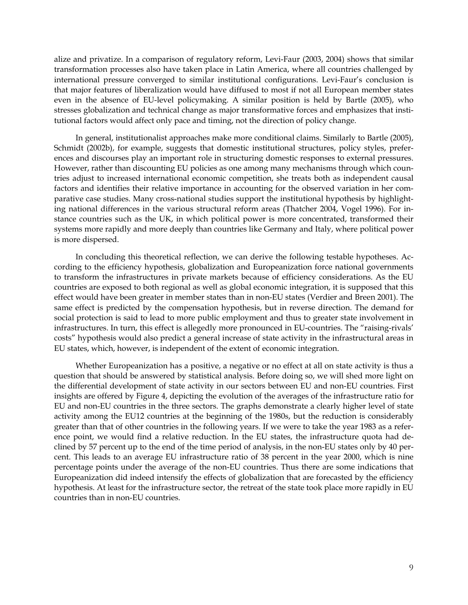alize and privatize. In a comparison of regulatory reform, Levi-Faur (2003, 2004) shows that similar transformation processes also have taken place in Latin America, where all countries challenged by international pressure converged to similar institutional configurations. Levi-Faur's conclusion is that major features of liberalization would have diffused to most if not all European member states even in the absence of EU-level policymaking. A similar position is held by Bartle (2005), who stresses globalization and technical change as major transformative forces and emphasizes that institutional factors would affect only pace and timing, not the direction of policy change.

In general, institutionalist approaches make more conditional claims. Similarly to Bartle (2005), Schmidt (2002b), for example, suggests that domestic institutional structures, policy styles, preferences and discourses play an important role in structuring domestic responses to external pressures. However, rather than discounting EU policies as one among many mechanisms through which countries adjust to increased international economic competition, she treats both as independent causal factors and identifies their relative importance in accounting for the observed variation in her comparative case studies. Many cross-national studies support the institutional hypothesis by highlighting national differences in the various structural reform areas (Thatcher 2004, Vogel 1996). For instance countries such as the UK, in which political power is more concentrated, transformed their systems more rapidly and more deeply than countries like Germany and Italy, where political power is more dispersed.

In concluding this theoretical reflection, we can derive the following testable hypotheses. According to the efficiency hypothesis, globalization and Europeanization force national governments to transform the infrastructures in private markets because of efficiency considerations. As the EU countries are exposed to both regional as well as global economic integration, it is supposed that this effect would have been greater in member states than in non-EU states (Verdier and Breen 2001). The same effect is predicted by the compensation hypothesis, but in reverse direction. The demand for social protection is said to lead to more public employment and thus to greater state involvement in infrastructures. In turn, this effect is allegedly more pronounced in EU-countries. The "raising-rivals' costs" hypothesis would also predict a general increase of state activity in the infrastructural areas in EU states, which, however, is independent of the extent of economic integration.

Whether Europeanization has a positive, a negative or no effect at all on state activity is thus a question that should be answered by statistical analysis. Before doing so, we will shed more light on the differential development of state activity in our sectors between EU and non-EU countries. First insights are offered by Figure 4, depicting the evolution of the averages of the infrastructure ratio for EU and non-EU countries in the three sectors. The graphs demonstrate a clearly higher level of state activity among the EU12 countries at the beginning of the 1980s, but the reduction is considerably greater than that of other countries in the following years. If we were to take the year 1983 as a reference point, we would find a relative reduction. In the EU states, the infrastructure quota had declined by 57 percent up to the end of the time period of analysis, in the non-EU states only by 40 percent. This leads to an average EU infrastructure ratio of 38 percent in the year 2000, which is nine percentage points under the average of the non-EU countries. Thus there are some indications that Europeanization did indeed intensify the effects of globalization that are forecasted by the efficiency hypothesis. At least for the infrastructure sector, the retreat of the state took place more rapidly in EU countries than in non-EU countries.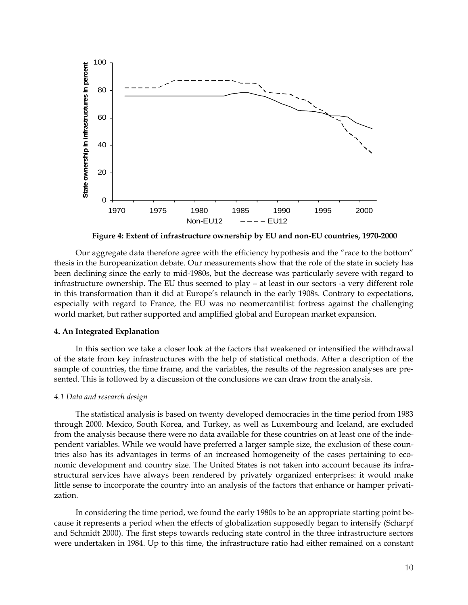

**Figure 4: Extent of infrastructure ownership by EU and non-EU countries, 1970-2000**

Our aggregate data therefore agree with the efficiency hypothesis and the "race to the bottom" thesis in the Europeanization debate. Our measurements show that the role of the state in society has been declining since the early to mid-1980s, but the decrease was particularly severe with regard to infrastructure ownership. The EU thus seemed to play – at least in our sectors -a very different role in this transformation than it did at Europe's relaunch in the early 1908s. Contrary to expectations, especially with regard to France, the EU was no neomercantilist fortress against the challenging world market, but rather supported and amplified global and European market expansion.

## **4. An Integrated Explanation**

In this section we take a closer look at the factors that weakened or intensified the withdrawal of the state from key infrastructures with the help of statistical methods. After a description of the sample of countries, the time frame, and the variables, the results of the regression analyses are presented. This is followed by a discussion of the conclusions we can draw from the analysis.

#### *4.1 Data and research design*

The statistical analysis is based on twenty developed democracies in the time period from 1983 through 2000. Mexico, South Korea, and Turkey, as well as Luxembourg and Iceland, are excluded from the analysis because there were no data available for these countries on at least one of the independent variables. While we would have preferred a larger sample size, the exclusion of these countries also has its advantages in terms of an increased homogeneity of the cases pertaining to economic development and country size. The United States is not taken into account because its infrastructural services have always been rendered by privately organized enterprises: it would make little sense to incorporate the country into an analysis of the factors that enhance or hamper privatization.

In considering the time period, we found the early 1980s to be an appropriate starting point because it represents a period when the effects of globalization supposedly began to intensify (Scharpf and Schmidt 2000). The first steps towards reducing state control in the three infrastructure sectors were undertaken in 1984. Up to this time, the infrastructure ratio had either remained on a constant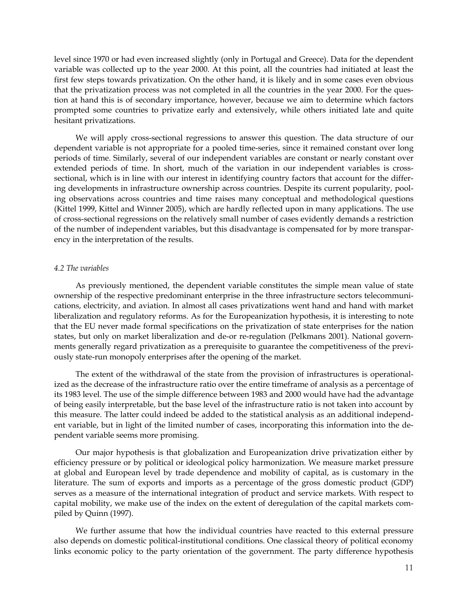level since 1970 or had even increased slightly (only in Portugal and Greece). Data for the dependent variable was collected up to the year 2000. At this point, all the countries had initiated at least the first few steps towards privatization. On the other hand, it is likely and in some cases even obvious that the privatization process was not completed in all the countries in the year 2000. For the question at hand this is of secondary importance, however, because we aim to determine which factors prompted some countries to privatize early and extensively, while others initiated late and quite hesitant privatizations.

We will apply cross-sectional regressions to answer this question. The data structure of our dependent variable is not appropriate for a pooled time-series, since it remained constant over long periods of time. Similarly, several of our independent variables are constant or nearly constant over extended periods of time. In short, much of the variation in our independent variables is crosssectional, which is in line with our interest in identifying country factors that account for the differing developments in infrastructure ownership across countries. Despite its current popularity, pooling observations across countries and time raises many conceptual and methodological questions (Kittel 1999, Kittel and Winner 2005), which are hardly reflected upon in many applications. The use of cross-sectional regressions on the relatively small number of cases evidently demands a restriction of the number of independent variables, but this disadvantage is compensated for by more transparency in the interpretation of the results.

### *4.2 The variables*

As previously mentioned, the dependent variable constitutes the simple mean value of state ownership of the respective predominant enterprise in the three infrastructure sectors telecommunications, electricity, and aviation. In almost all cases privatizations went hand and hand with market liberalization and regulatory reforms. As for the Europeanization hypothesis, it is interesting to note that the EU never made formal specifications on the privatization of state enterprises for the nation states, but only on market liberalization and de-or re-regulation (Pelkmans 2001). National governments generally regard privatization as a prerequisite to guarantee the competitiveness of the previously state-run monopoly enterprises after the opening of the market.

The extent of the withdrawal of the state from the provision of infrastructures is operationalized as the decrease of the infrastructure ratio over the entire timeframe of analysis as a percentage of its 1983 level. The use of the simple difference between 1983 and 2000 would have had the advantage of being easily interpretable, but the base level of the infrastructure ratio is not taken into account by this measure. The latter could indeed be added to the statistical analysis as an additional independent variable, but in light of the limited number of cases, incorporating this information into the dependent variable seems more promising.

Our major hypothesis is that globalization and Europeanization drive privatization either by efficiency pressure or by political or ideological policy harmonization. We measure market pressure at global and European level by trade dependence and mobility of capital, as is customary in the literature. The sum of exports and imports as a percentage of the gross domestic product (GDP) serves as a measure of the international integration of product and service markets. With respect to capital mobility, we make use of the index on the extent of deregulation of the capital markets compiled by Quinn (1997).

We further assume that how the individual countries have reacted to this external pressure also depends on domestic political-institutional conditions. One classical theory of political economy links economic policy to the party orientation of the government. The party difference hypothesis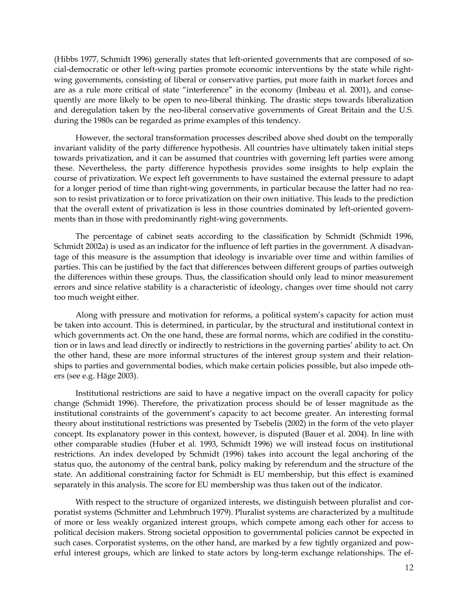(Hibbs 1977, Schmidt 1996) generally states that left-oriented governments that are composed of social-democratic or other left-wing parties promote economic interventions by the state while rightwing governments, consisting of liberal or conservative parties, put more faith in market forces and are as a rule more critical of state "interference" in the economy (Imbeau et al. 2001), and consequently are more likely to be open to neo-liberal thinking. The drastic steps towards liberalization and deregulation taken by the neo-liberal conservative governments of Great Britain and the U.S. during the 1980s can be regarded as prime examples of this tendency.

However, the sectoral transformation processes described above shed doubt on the temporally invariant validity of the party difference hypothesis. All countries have ultimately taken initial steps towards privatization, and it can be assumed that countries with governing left parties were among these. Nevertheless, the party difference hypothesis provides some insights to help explain the course of privatization. We expect left governments to have sustained the external pressure to adapt for a longer period of time than right-wing governments, in particular because the latter had no reason to resist privatization or to force privatization on their own initiative. This leads to the prediction that the overall extent of privatization is less in those countries dominated by left-oriented governments than in those with predominantly right-wing governments.

The percentage of cabinet seats according to the classification by Schmidt (Schmidt 1996, Schmidt 2002a) is used as an indicator for the influence of left parties in the government. A disadvantage of this measure is the assumption that ideology is invariable over time and within families of parties. This can be justified by the fact that differences between different groups of parties outweigh the differences within these groups. Thus, the classification should only lead to minor measurement errors and since relative stability is a characteristic of ideology, changes over time should not carry too much weight either.

Along with pressure and motivation for reforms, a political system's capacity for action must be taken into account. This is determined, in particular, by the structural and institutional context in which governments act. On the one hand, these are formal norms, which are codified in the constitution or in laws and lead directly or indirectly to restrictions in the governing parties' ability to act. On the other hand, these are more informal structures of the interest group system and their relationships to parties and governmental bodies, which make certain policies possible, but also impede others (see e.g. Häge 2003).

Institutional restrictions are said to have a negative impact on the overall capacity for policy change (Schmidt 1996). Therefore, the privatization process should be of lesser magnitude as the institutional constraints of the government's capacity to act become greater. An interesting formal theory about institutional restrictions was presented by Tsebelis (2002) in the form of the veto player concept. Its explanatory power in this context, however, is disputed (Bauer et al. 2004). In line with other comparable studies (Huber et al. 1993, Schmidt 1996) we will instead focus on institutional restrictions. An index developed by Schmidt (1996) takes into account the legal anchoring of the status quo, the autonomy of the central bank, policy making by referendum and the structure of the state. An additional constraining factor for Schmidt is EU membership, but this effect is examined separately in this analysis. The score for EU membership was thus taken out of the indicator.

With respect to the structure of organized interests, we distinguish between pluralist and corporatist systems (Schmitter and Lehmbruch 1979). Pluralist systems are characterized by a multitude of more or less weakly organized interest groups, which compete among each other for access to political decision makers. Strong societal opposition to governmental policies cannot be expected in such cases. Corporatist systems, on the other hand, are marked by a few tightly organized and powerful interest groups, which are linked to state actors by long-term exchange relationships. The ef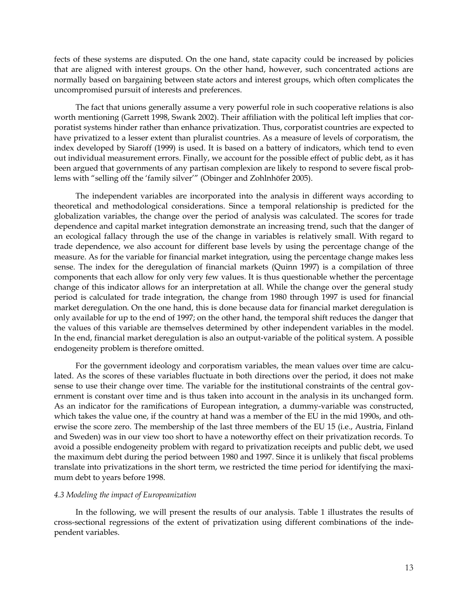fects of these systems are disputed. On the one hand, state capacity could be increased by policies that are aligned with interest groups. On the other hand, however, such concentrated actions are normally based on bargaining between state actors and interest groups, which often complicates the uncompromised pursuit of interests and preferences.

The fact that unions generally assume a very powerful role in such cooperative relations is also worth mentioning (Garrett 1998, Swank 2002). Their affiliation with the political left implies that corporatist systems hinder rather than enhance privatization. Thus, corporatist countries are expected to have privatized to a lesser extent than pluralist countries. As a measure of levels of corporatism, the index developed by Siaroff (1999) is used. It is based on a battery of indicators, which tend to even out individual measurement errors. Finally, we account for the possible effect of public debt, as it has been argued that governments of any partisan complexion are likely to respond to severe fiscal problems with "selling off the 'family silver'" (Obinger and Zohlnhöfer 2005).

The independent variables are incorporated into the analysis in different ways according to theoretical and methodological considerations. Since a temporal relationship is predicted for the globalization variables, the change over the period of analysis was calculated. The scores for trade dependence and capital market integration demonstrate an increasing trend, such that the danger of an ecological fallacy through the use of the change in variables is relatively small. With regard to trade dependence, we also account for different base levels by using the percentage change of the measure. As for the variable for financial market integration, using the percentage change makes less sense. The index for the deregulation of financial markets (Quinn 1997) is a compilation of three components that each allow for only very few values. It is thus questionable whether the percentage change of this indicator allows for an interpretation at all. While the change over the general study period is calculated for trade integration, the change from 1980 through 1997 is used for financial market deregulation. On the one hand, this is done because data for financial market deregulation is only available for up to the end of 1997; on the other hand, the temporal shift reduces the danger that the values of this variable are themselves determined by other independent variables in the model. In the end, financial market deregulation is also an output-variable of the political system. A possible endogeneity problem is therefore omitted.

For the government ideology and corporatism variables, the mean values over time are calculated. As the scores of these variables fluctuate in both directions over the period, it does not make sense to use their change over time. The variable for the institutional constraints of the central government is constant over time and is thus taken into account in the analysis in its unchanged form. As an indicator for the ramifications of European integration, a dummy-variable was constructed, which takes the value one, if the country at hand was a member of the EU in the mid 1990s, and otherwise the score zero. The membership of the last three members of the EU 15 (i.e., Austria, Finland and Sweden) was in our view too short to have a noteworthy effect on their privatization records. To avoid a possible endogeneity problem with regard to privatization receipts and public debt, we used the maximum debt during the period between 1980 and 1997. Since it is unlikely that fiscal problems translate into privatizations in the short term, we restricted the time period for identifying the maximum debt to years before 1998.

#### *4.3 Modeling the impact of Europeanization*

In the following, we will present the results of our analysis. Table 1 illustrates the results of cross-sectional regressions of the extent of privatization using different combinations of the independent variables.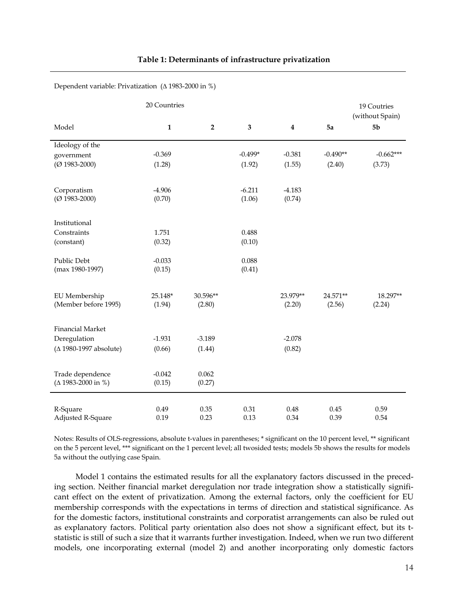|                                | 20 Countries |             |           |                  |            | 19 Coutries<br>(without Spain) |
|--------------------------------|--------------|-------------|-----------|------------------|------------|--------------------------------|
| Model                          | $\mathbf 1$  | $\mathbf 2$ | 3         | $\boldsymbol{4}$ | 5a         | 5 <sub>b</sub>                 |
| Ideology of the                |              |             |           |                  |            |                                |
| government                     | $-0.369$     |             | $-0.499*$ | $-0.381$         | $-0.490**$ | $-0.662***$                    |
| $(Q$ 1983-2000)                | (1.28)       |             | (1.92)    | (1.55)           | (2.40)     | (3.73)                         |
| Corporatism                    | $-4.906$     |             | $-6.211$  | $-4.183$         |            |                                |
| $(O 1983 - 2000)$              | (0.70)       |             | (1.06)    | (0.74)           |            |                                |
| Institutional                  |              |             |           |                  |            |                                |
| Constraints                    | 1.751        |             | 0.488     |                  |            |                                |
| (constant)                     | (0.32)       |             | (0.10)    |                  |            |                                |
| Public Debt                    | $-0.033$     |             | 0.088     |                  |            |                                |
| (max 1980-1997)                | (0.15)       |             | (0.41)    |                  |            |                                |
| EU Membership                  | 25.148*      | 30.596**    |           | 23.979**         | 24.571**   | 18.297**                       |
| (Member before 1995)           | (1.94)       | (2.80)      |           | (2.20)           | (2.56)     | (2.24)                         |
| <b>Financial Market</b>        |              |             |           |                  |            |                                |
| Deregulation                   | $-1.931$     | $-3.189$    |           | $-2.078$         |            |                                |
| ( $\Delta$ 1980-1997 absolute) | (0.66)       | (1.44)      |           | (0.82)           |            |                                |
| Trade dependence               | $-0.042$     | 0.062       |           |                  |            |                                |
| $(\Delta 1983 - 2000$ in %)    | (0.15)       | (0.27)      |           |                  |            |                                |
| R-Square                       | 0.49         | 0.35        | 0.31      | 0.48             | 0.45       | 0.59                           |
| Adjusted R-Square              | 0.19         | 0.23        | 0.13      | 0.34             | 0.39       | 0.54                           |

#### **Table 1: Determinants of infrastructure privatization**

Dependent variable: Privatization (∆ 1983-2000 in %)

Notes: Results of OLS-regressions, absolute t-values in parentheses; \* significant on the 10 percent level, \*\* significant on the 5 percent level, \*\*\* significant on the 1 percent level; all twosided tests; models 5b shows the results for models 5a without the outlying case Spain.

Model 1 contains the estimated results for all the explanatory factors discussed in the preceding section. Neither financial market deregulation nor trade integration show a statistically significant effect on the extent of privatization. Among the external factors, only the coefficient for EU membership corresponds with the expectations in terms of direction and statistical significance. As for the domestic factors, institutional constraints and corporatist arrangements can also be ruled out as explanatory factors. Political party orientation also does not show a significant effect, but its tstatistic is still of such a size that it warrants further investigation. Indeed, when we run two different models, one incorporating external (model 2) and another incorporating only domestic factors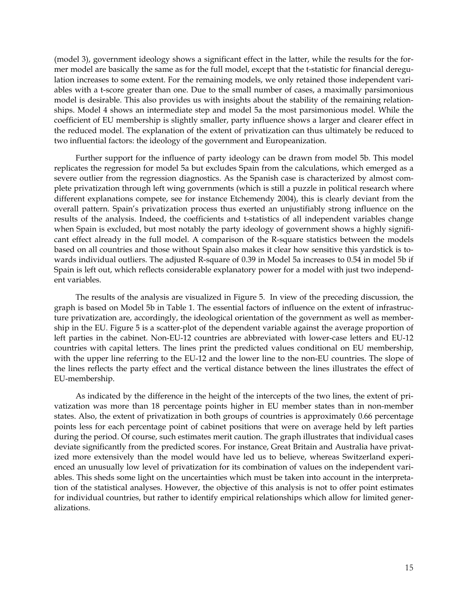(model 3), government ideology shows a significant effect in the latter, while the results for the former model are basically the same as for the full model, except that the t-statistic for financial deregulation increases to some extent. For the remaining models, we only retained those independent variables with a t-score greater than one. Due to the small number of cases, a maximally parsimonious model is desirable. This also provides us with insights about the stability of the remaining relationships. Model 4 shows an intermediate step and model 5a the most parsimonious model. While the coefficient of EU membership is slightly smaller, party influence shows a larger and clearer effect in the reduced model. The explanation of the extent of privatization can thus ultimately be reduced to two influential factors: the ideology of the government and Europeanization.

Further support for the influence of party ideology can be drawn from model 5b. This model replicates the regression for model 5a but excludes Spain from the calculations, which emerged as a severe outlier from the regression diagnostics. As the Spanish case is characterized by almost complete privatization through left wing governments (which is still a puzzle in political research where different explanations compete, see for instance Etchemendy 2004), this is clearly deviant from the overall pattern. Spain's privatization process thus exerted an unjustifiably strong influence on the results of the analysis. Indeed, the coefficients and t-statistics of all independent variables change when Spain is excluded, but most notably the party ideology of government shows a highly significant effect already in the full model. A comparison of the R-square statistics between the models based on all countries and those without Spain also makes it clear how sensitive this yardstick is towards individual outliers. The adjusted R-square of 0.39 in Model 5a increases to 0.54 in model 5b if Spain is left out, which reflects considerable explanatory power for a model with just two independent variables.

The results of the analysis are visualized in Figure 5. In view of the preceding discussion, the graph is based on Model 5b in Table 1. The essential factors of influence on the extent of infrastructure privatization are, accordingly, the ideological orientation of the government as well as membership in the EU. Figure 5 is a scatter-plot of the dependent variable against the average proportion of left parties in the cabinet. Non-EU-12 countries are abbreviated with lower-case letters and EU-12 countries with capital letters. The lines print the predicted values conditional on EU membership, with the upper line referring to the EU-12 and the lower line to the non-EU countries. The slope of the lines reflects the party effect and the vertical distance between the lines illustrates the effect of EU-membership.

As indicated by the difference in the height of the intercepts of the two lines, the extent of privatization was more than 18 percentage points higher in EU member states than in non-member states. Also, the extent of privatization in both groups of countries is approximately 0.66 percentage points less for each percentage point of cabinet positions that were on average held by left parties during the period. Of course, such estimates merit caution. The graph illustrates that individual cases deviate significantly from the predicted scores. For instance, Great Britain and Australia have privatized more extensively than the model would have led us to believe, whereas Switzerland experienced an unusually low level of privatization for its combination of values on the independent variables. This sheds some light on the uncertainties which must be taken into account in the interpretation of the statistical analyses. However, the objective of this analysis is not to offer point estimates for individual countries, but rather to identify empirical relationships which allow for limited generalizations.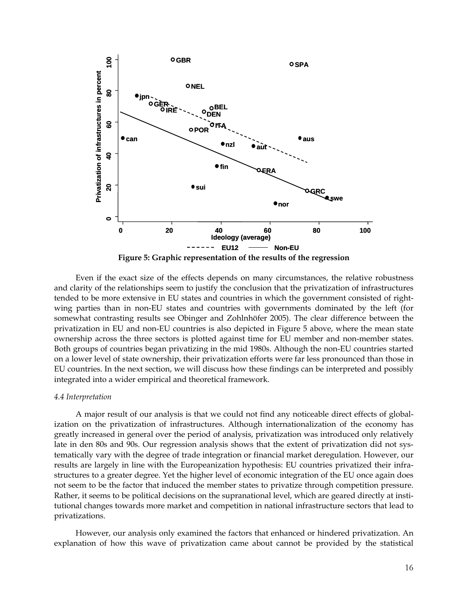

Even if the exact size of the effects depends on many circumstances, the relative robustness and clarity of the relationships seem to justify the conclusion that the privatization of infrastructures tended to be more extensive in EU states and countries in which the government consisted of rightwing parties than in non-EU states and countries with governments dominated by the left (for somewhat contrasting results see Obinger and Zohlnhöfer 2005). The clear difference between the privatization in EU and non-EU countries is also depicted in Figure 5 above, where the mean state ownership across the three sectors is plotted against time for EU member and non-member states. Both groups of countries began privatizing in the mid 1980s. Although the non-EU countries started on a lower level of state ownership, their privatization efforts were far less pronounced than those in EU countries. In the next section, we will discuss how these findings can be interpreted and possibly integrated into a wider empirical and theoretical framework.

#### *4.4 Interpretation*

A major result of our analysis is that we could not find any noticeable direct effects of globalization on the privatization of infrastructures. Although internationalization of the economy has greatly increased in general over the period of analysis, privatization was introduced only relatively late in den 80s and 90s. Our regression analysis shows that the extent of privatization did not systematically vary with the degree of trade integration or financial market deregulation. However, our results are largely in line with the Europeanization hypothesis: EU countries privatized their infrastructures to a greater degree. Yet the higher level of economic integration of the EU once again does not seem to be the factor that induced the member states to privatize through competition pressure. Rather, it seems to be political decisions on the supranational level, which are geared directly at institutional changes towards more market and competition in national infrastructure sectors that lead to privatizations.

However, our analysis only examined the factors that enhanced or hindered privatization. An explanation of how this wave of privatization came about cannot be provided by the statistical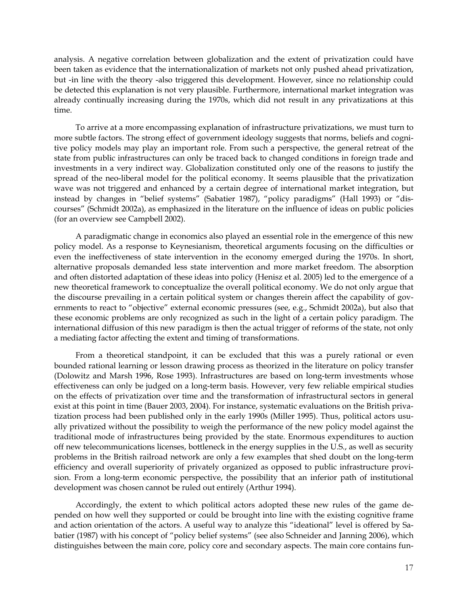analysis. A negative correlation between globalization and the extent of privatization could have been taken as evidence that the internationalization of markets not only pushed ahead privatization, but -in line with the theory -also triggered this development. However, since no relationship could be detected this explanation is not very plausible. Furthermore, international market integration was already continually increasing during the 1970s, which did not result in any privatizations at this time.

To arrive at a more encompassing explanation of infrastructure privatizations, we must turn to more subtle factors. The strong effect of government ideology suggests that norms, beliefs and cognitive policy models may play an important role. From such a perspective, the general retreat of the state from public infrastructures can only be traced back to changed conditions in foreign trade and investments in a very indirect way. Globalization constituted only one of the reasons to justify the spread of the neo-liberal model for the political economy. It seems plausible that the privatization wave was not triggered and enhanced by a certain degree of international market integration, but instead by changes in "belief systems" (Sabatier 1987), "policy paradigms" (Hall 1993) or "discourses" (Schmidt 2002a), as emphasized in the literature on the influence of ideas on public policies (for an overview see Campbell 2002).

A paradigmatic change in economics also played an essential role in the emergence of this new policy model. As a response to Keynesianism, theoretical arguments focusing on the difficulties or even the ineffectiveness of state intervention in the economy emerged during the 1970s. In short, alternative proposals demanded less state intervention and more market freedom. The absorption and often distorted adaptation of these ideas into policy (Henisz et al. 2005) led to the emergence of a new theoretical framework to conceptualize the overall political economy. We do not only argue that the discourse prevailing in a certain political system or changes therein affect the capability of governments to react to "objective" external economic pressures (see, e.g., Schmidt 2002a), but also that these economic problems are only recognized as such in the light of a certain policy paradigm. The international diffusion of this new paradigm is then the actual trigger of reforms of the state, not only a mediating factor affecting the extent and timing of transformations.

From a theoretical standpoint, it can be excluded that this was a purely rational or even bounded rational learning or lesson drawing process as theorized in the literature on policy transfer (Dolowitz and Marsh 1996, Rose 1993). Infrastructures are based on long-term investments whose effectiveness can only be judged on a long-term basis. However, very few reliable empirical studies on the effects of privatization over time and the transformation of infrastructural sectors in general exist at this point in time (Bauer 2003, 2004). For instance, systematic evaluations on the British privatization process had been published only in the early 1990s (Miller 1995). Thus, political actors usually privatized without the possibility to weigh the performance of the new policy model against the traditional mode of infrastructures being provided by the state. Enormous expenditures to auction off new telecommunications licenses, bottleneck in the energy supplies in the U.S., as well as security problems in the British railroad network are only a few examples that shed doubt on the long-term efficiency and overall superiority of privately organized as opposed to public infrastructure provision. From a long-term economic perspective, the possibility that an inferior path of institutional development was chosen cannot be ruled out entirely (Arthur 1994).

Accordingly, the extent to which political actors adopted these new rules of the game depended on how well they supported or could be brought into line with the existing cognitive frame and action orientation of the actors. A useful way to analyze this "ideational" level is offered by Sabatier (1987) with his concept of "policy belief systems" (see also Schneider and Janning 2006), which distinguishes between the main core, policy core and secondary aspects. The main core contains fun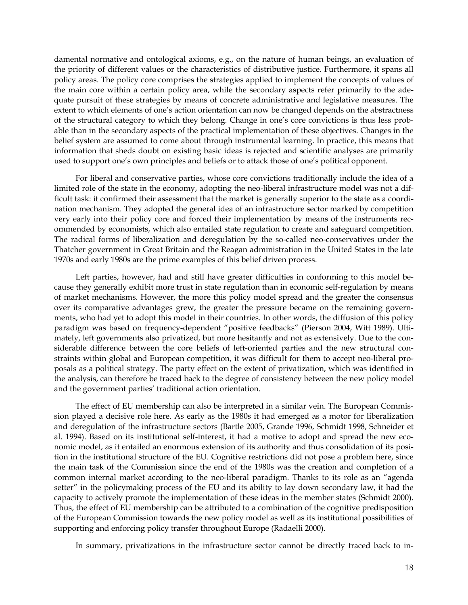damental normative and ontological axioms, e.g., on the nature of human beings, an evaluation of the priority of different values or the characteristics of distributive justice. Furthermore, it spans all policy areas. The policy core comprises the strategies applied to implement the concepts of values of the main core within a certain policy area, while the secondary aspects refer primarily to the adequate pursuit of these strategies by means of concrete administrative and legislative measures. The extent to which elements of one's action orientation can now be changed depends on the abstractness of the structural category to which they belong. Change in one's core convictions is thus less probable than in the secondary aspects of the practical implementation of these objectives. Changes in the belief system are assumed to come about through instrumental learning. In practice, this means that information that sheds doubt on existing basic ideas is rejected and scientific analyses are primarily used to support one's own principles and beliefs or to attack those of one's political opponent.

For liberal and conservative parties, whose core convictions traditionally include the idea of a limited role of the state in the economy, adopting the neo-liberal infrastructure model was not a difficult task: it confirmed their assessment that the market is generally superior to the state as a coordination mechanism. They adopted the general idea of an infrastructure sector marked by competition very early into their policy core and forced their implementation by means of the instruments recommended by economists, which also entailed state regulation to create and safeguard competition. The radical forms of liberalization and deregulation by the so-called neo-conservatives under the Thatcher government in Great Britain and the Reagan administration in the United States in the late 1970s and early 1980s are the prime examples of this belief driven process.

Left parties, however, had and still have greater difficulties in conforming to this model because they generally exhibit more trust in state regulation than in economic self-regulation by means of market mechanisms. However, the more this policy model spread and the greater the consensus over its comparative advantages grew, the greater the pressure became on the remaining governments, who had yet to adopt this model in their countries. In other words, the diffusion of this policy paradigm was based on frequency-dependent "positive feedbacks" (Pierson 2004, Witt 1989). Ultimately, left governments also privatized, but more hesitantly and not as extensively. Due to the considerable difference between the core beliefs of left-oriented parties and the new structural constraints within global and European competition, it was difficult for them to accept neo-liberal proposals as a political strategy. The party effect on the extent of privatization, which was identified in the analysis, can therefore be traced back to the degree of consistency between the new policy model and the government parties' traditional action orientation.

The effect of EU membership can also be interpreted in a similar vein. The European Commission played a decisive role here. As early as the 1980s it had emerged as a motor for liberalization and deregulation of the infrastructure sectors (Bartle 2005, Grande 1996, Schmidt 1998, Schneider et al. 1994). Based on its institutional self-interest, it had a motive to adopt and spread the new economic model, as it entailed an enormous extension of its authority and thus consolidation of its position in the institutional structure of the EU. Cognitive restrictions did not pose a problem here, since the main task of the Commission since the end of the 1980s was the creation and completion of a common internal market according to the neo-liberal paradigm. Thanks to its role as an "agenda setter" in the policymaking process of the EU and its ability to lay down secondary law, it had the capacity to actively promote the implementation of these ideas in the member states (Schmidt 2000). Thus, the effect of EU membership can be attributed to a combination of the cognitive predisposition of the European Commission towards the new policy model as well as its institutional possibilities of supporting and enforcing policy transfer throughout Europe (Radaelli 2000).

In summary, privatizations in the infrastructure sector cannot be directly traced back to in-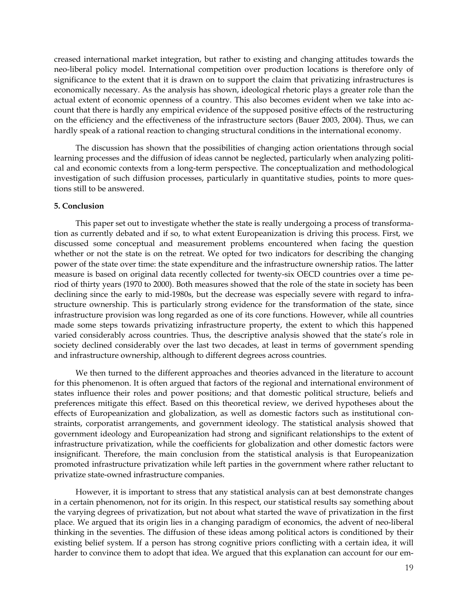creased international market integration, but rather to existing and changing attitudes towards the neo-liberal policy model. International competition over production locations is therefore only of significance to the extent that it is drawn on to support the claim that privatizing infrastructures is economically necessary. As the analysis has shown, ideological rhetoric plays a greater role than the actual extent of economic openness of a country. This also becomes evident when we take into account that there is hardly any empirical evidence of the supposed positive effects of the restructuring on the efficiency and the effectiveness of the infrastructure sectors (Bauer 2003, 2004). Thus, we can hardly speak of a rational reaction to changing structural conditions in the international economy.

The discussion has shown that the possibilities of changing action orientations through social learning processes and the diffusion of ideas cannot be neglected, particularly when analyzing political and economic contexts from a long-term perspective. The conceptualization and methodological investigation of such diffusion processes, particularly in quantitative studies, points to more questions still to be answered.

## **5. Conclusion**

This paper set out to investigate whether the state is really undergoing a process of transformation as currently debated and if so, to what extent Europeanization is driving this process. First, we discussed some conceptual and measurement problems encountered when facing the question whether or not the state is on the retreat. We opted for two indicators for describing the changing power of the state over time: the state expenditure and the infrastructure ownership ratios. The latter measure is based on original data recently collected for twenty-six OECD countries over a time period of thirty years (1970 to 2000). Both measures showed that the role of the state in society has been declining since the early to mid-1980s, but the decrease was especially severe with regard to infrastructure ownership. This is particularly strong evidence for the transformation of the state, since infrastructure provision was long regarded as one of its core functions. However, while all countries made some steps towards privatizing infrastructure property, the extent to which this happened varied considerably across countries. Thus, the descriptive analysis showed that the state's role in society declined considerably over the last two decades, at least in terms of government spending and infrastructure ownership, although to different degrees across countries.

We then turned to the different approaches and theories advanced in the literature to account for this phenomenon. It is often argued that factors of the regional and international environment of states influence their roles and power positions; and that domestic political structure, beliefs and preferences mitigate this effect. Based on this theoretical review, we derived hypotheses about the effects of Europeanization and globalization, as well as domestic factors such as institutional constraints, corporatist arrangements, and government ideology. The statistical analysis showed that government ideology and Europeanization had strong and significant relationships to the extent of infrastructure privatization, while the coefficients for globalization and other domestic factors were insignificant. Therefore, the main conclusion from the statistical analysis is that Europeanization promoted infrastructure privatization while left parties in the government where rather reluctant to privatize state-owned infrastructure companies.

However, it is important to stress that any statistical analysis can at best demonstrate changes in a certain phenomenon, not for its origin. In this respect, our statistical results say something about the varying degrees of privatization, but not about what started the wave of privatization in the first place. We argued that its origin lies in a changing paradigm of economics, the advent of neo-liberal thinking in the seventies. The diffusion of these ideas among political actors is conditioned by their existing belief system. If a person has strong cognitive priors conflicting with a certain idea, it will harder to convince them to adopt that idea. We argued that this explanation can account for our em-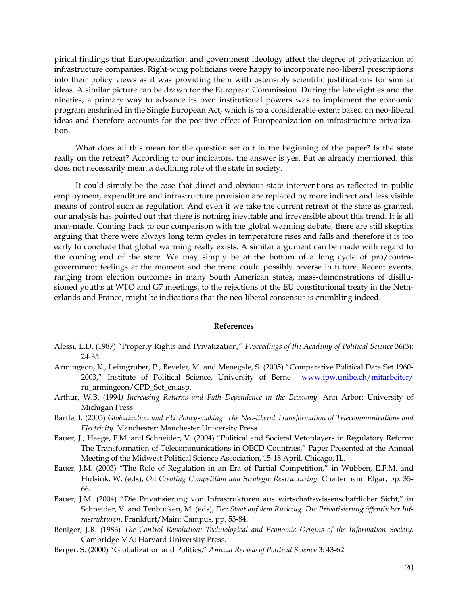pirical findings that Europeanization and government ideology affect the degree of privatization of infrastructure companies. Right-wing politicians were happy to incorporate neo-liberal prescriptions into their policy views as it was providing them with ostensibly scientific justifications for similar ideas. A similar picture can be drawn for the European Commission. During the late eighties and the nineties, a primary way to advance its own institutional powers was to implement the economic program enshrined in the Single European Act, which is to a considerable extent based on neo-liberal ideas and therefore accounts for the positive effect of Europeanization on infrastructure privatization.

What does all this mean for the question set out in the beginning of the paper? Is the state really on the retreat? According to our indicators, the answer is yes. But as already mentioned, this does not necessarily mean a declining role of the state in society.

It could simply be the case that direct and obvious state interventions as reflected in public employment, expenditure and infrastructure provision are replaced by more indirect and less visible means of control such as regulation. And even if we take the current retreat of the state as granted, our analysis has pointed out that there is nothing inevitable and irreversible about this trend. It is all man-made. Coming back to our comparison with the global warming debate, there are still skeptics arguing that there were always long term cycles in temperature rises and falls and therefore it is too early to conclude that global warming really exists. A similar argument can be made with regard to the coming end of the state. We may simply be at the bottom of a long cycle of pro/contragovernment feelings at the moment and the trend could possibly reverse in future. Recent events, ranging from election outcomes in many South American states, mass-demonstrations of disillusioned youths at WTO and G7 meetings, to the rejections of the EU constitutional treaty in the Netherlands and France, might be indications that the neo-liberal consensus is crumbling indeed.

#### **References**

- Alessi, L.D. (1987) "Property Rights and Privatization," *Proceedings of the Academy of Political Science* 36(3): 24-35.
- Armingeon, K., Leimgruber, P., Beyeler, M. and Menegale, S. (2005) "Comparative Political Data Set 1960- 2003," Institute of Political Science, University of Berne www.ipw.unibe.ch/mitarbeiter/ ru\_armingeon/CPD\_Set\_en.asp.
- Arthur, W.B. (1994*) Increasing Returns and Path Dependence in the Economy.* Ann Arbor: University of Michigan Press.
- Bartle, I. (2005) *Globalization and EU Policy-making: The Neo-liberal Transformation of Telecommunications and Electricity.* Manchester: Manchester University Press.
- Bauer, J., Haege, F.M. and Schneider, V. (2004) "Political and Societal Vetoplayers in Regulatory Reform: The Transformation of Telecommunications in OECD Countries," Paper Presented at the Annual Meeting of the Midwest Political Science Association, 15-18 April, Chicago, IL.
- Bauer, J.M. (2003) "The Role of Regulation in an Era of Partial Competition," in Wubben, E.F.M. and Hulsink, W. (eds), *On Creating Competition and Strategic Restructuring.* Cheltenham: Elgar, pp. 35- 66.
- Bauer, J.M. (2004) "Die Privatisierung von Infrastrukturen aus wirtschaftswissenschaftlicher Sicht," in Schneider, V. and Tenbücken, M. (eds), *Der Staat auf dem Rückzug. Die Privatisierung öffentlicher Infrastrukturen*. Frankfurt/Main: Campus, pp. 53-84.
- Beniger, J.R. (1986) *The Control Revolution: Technological and Economic Origins of the Information Society*. Cambridge MA: Harvard University Press.
- Berger, S. (2000) "Globalization and Politics," *Annual Review of Political Science* 3: 43-62.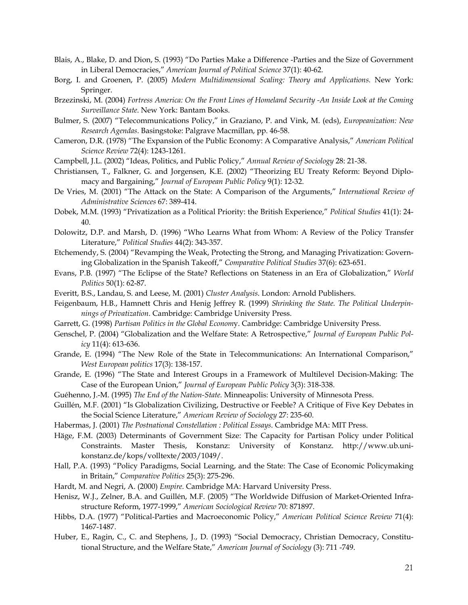- Blais, A., Blake, D. and Dion, S. (1993) "Do Parties Make a Difference -Parties and the Size of Government in Liberal Democracies," *American Journal of Political Science* 37(1): 40-62.
- Borg, I. and Groenen, P. (2005) *Modern Multidimensional Scaling: Theory and Applications.* New York: Springer.
- Brzezinski, M. (2004) *Fortress America: On the Front Lines of Homeland Security -An Inside Look at the Coming Surveillance State*. New York: Bantam Books.
- Bulmer, S. (2007) "Telecommunications Policy," in Graziano, P. and Vink, M. (eds), *Europeanization: New Research Agendas*. Basingstoke: Palgrave Macmillan, pp. 46-58.
- Cameron, D.R. (1978) "The Expansion of the Public Economy: A Comparative Analysis," *American Political Science Review* 72(4): 1243-1261.
- Campbell, J.L. (2002) "Ideas, Politics, and Public Policy," *Annual Review of Sociology* 28: 21-38.
- Christiansen, T., Falkner, G. and Jorgensen, K.E. (2002) "Theorizing EU Treaty Reform: Beyond Diplomacy and Bargaining," *Journal of European Public Policy* 9(1): 12-32.
- De Vries, M. (2001) "The Attack on the State: A Comparison of the Arguments," *International Review of Administrative Sciences* 67: 389-414.
- Dobek, M.M. (1993) "Privatization as a Political Priority: the British Experience," *Political Studies* 41(1): 24- 40.
- Dolowitz, D.P. and Marsh, D. (1996) "Who Learns What from Whom: A Review of the Policy Transfer Literature," *Political Studies* 44(2): 343-357.
- Etchemendy, S. (2004) "Revamping the Weak, Protecting the Strong, and Managing Privatization: Governing Globalization in the Spanish Takeoff," *Comparative Political Studies* 37(6): 623-651.
- Evans, P.B. (1997) "The Eclipse of the State? Reflections on Stateness in an Era of Globalization," *World Politics* 50(1): 62-87.
- Everitt, B.S., Landau, S. and Leese, M. (2001) *Cluster Analysis*. London: Arnold Publishers.
- Feigenbaum, H.B., Hamnett Chris and Henig Jeffrey R. (1999) *Shrinking the State. The Political Underpinnings of Privatization*. Cambridge: Cambridge University Press.
- Garrett, G. (1998) *Partisan Politics in the Global Econom*y. Cambridge: Cambridge University Press.
- Genschel, P. (2004) "Globalization and the Welfare State: A Retrospective," *Journal of European Public Policy* 11(4): 613-636.
- Grande, E. (1994) "The New Role of the State in Telecommunications: An International Comparison," *West European politics* 17(3): 138-157.
- Grande, E. (1996) "The State and Interest Groups in a Framework of Multilevel Decision-Making: The Case of the European Union," *Journal of European Public Policy* 3(3): 318-338.
- Guéhenno, J.-M. (1995) *The End of the Nation-State.* Minneapolis: University of Minnesota Press.
- Guillén, M.F. (2001) "Is Globalization Civilizing, Destructive or Feeble? A Critique of Five Key Debates in the Social Science Literature," *American Review of Sociology* 27: 235-60.
- Habermas, J. (2001) *The Postnational Constellation : Political Essays*. Cambridge MA: MIT Press.
- Häge, F.M. (2003) Determinants of Government Size: The Capacity for Partisan Policy under Political Constraints. Master Thesis, Konstanz: University of Konstanz. http://www.ub.unikonstanz.de/kops/volltexte/2003/1049/.
- Hall, P.A. (1993) "Policy Paradigms, Social Learning, and the State: The Case of Economic Policymaking in Britain," *Comparative Politics* 25(3): 275-296.
- Hardt, M. and Negri, A. (2000) *Empire.* Cambridge MA: Harvard University Press.
- Henisz, W.J., Zelner, B.A. and Guillén, M.F. (2005) "The Worldwide Diffusion of Market-Oriented Infrastructure Reform, 1977-1999," *American Sociological Review* 70: 871897.
- Hibbs, D.A. (1977) "Political-Parties and Macroeconomic Policy," *American Political Science Review* 71(4): 1467-1487.
- Huber, E., Ragin, C., C. and Stephens, J., D. (1993) "Social Democracy, Christian Democracy, Constitutional Structure, and the Welfare State," *American Journal of Sociology* (3): 711 -749.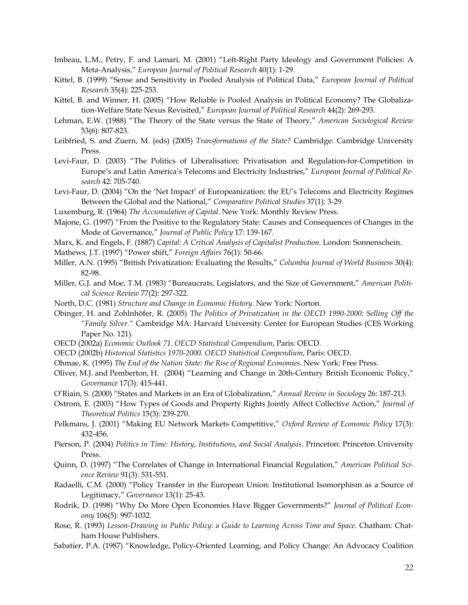- Imbeau, L.M., Petry, F. and Lamari, M. (2001) "Left-Right Party Ideology and Government Policies: A Meta-Analysis," *European Journal of Political Research* 40(1): 1-29.
- Kittel, B. (1999) "Sense and Sensitivity in Pooled Analysis of Political Data," *European Journal of Political Research* 35(4): 225-253.
- Kittel, B. and Winner, H. (2005) "How Reliable is Pooled Analysis in Political Economy? The Globalization-Welfare State Nexus Revisited," *European Journal of Political Research* 44(2): 269-293.
- Lehman, E.W. (1988) "The Theory of the State versus the State of Theory," *American Sociological Review*  53(6): 807-823.
- Leibfried, S. and Zuern, M. (eds) (2005) *Transformations of the State?* Cambridge: Cambridge University Press.
- Levi-Faur, D. (2003) "The Politics of Liberalisation: Privatisation and Regulation-for-Competition in Europe's and Latin America's Telecoms and Electricity Industries," *European Journal of Political Research* 42: 705-740.
- Levi-Faur, D. (2004) "On the 'Net Impact' of Europeanization: the EU's Telecoms and Electricity Regimes Between the Global and the National," *Comparative Political Studies* 37(1): 3-29.
- Luxemburg, R. (1964) *The Accumulation of Capital*. New York: Monthly Review Press.
- Majone, G. (1997) "From the Positive to the Regulatory State: Causes and Consequences of Changes in the Mode of Governance," *Journal of Public Policy* 17: 139-167.
- Marx, K. and Engels, F. (1887) *Capital: A Critical Analysis of Capitalist Production.* London: Sonnenschein.
- Mathews, J.T. (1997) "Power shift," *Foreign Affairs* 76(1): 50-66.
- Miller, A.N. (1995) "British Privatization: Evaluating the Results," *Columbia Journal of World Business* 30(4): 82-98.
- Miller, G.J. and Moe, T.M. (1983) "Bureaucrats, Legislators, and the Size of Government," *American Political Science Review* 77(2): 297-322.
- North, D.C. (1981) *Structure and Change in Economic History*. New York: Norton.
- Obinger, H. and Zohlnhöfer, R. (2005) *The Politics of Privatization in the OECD 1990-2000: Selling Off the "Family Silver."* Cambridge MA: Harvard University Center for European Studies (CES Working Paper No. 121).
- OECD (2002a) *Economic Outlook 71. OECD Statistical Compendium*, Paris: OECD.
- OECD (2002b) *Historical Statistics 1970-2000. OECD Statistical Compendium*, Paris: OECD.
- Ohmae, K. (1995) *The End of the Nation State: the Rise of Regional Economies*. New York: Free Press.
- Oliver, M.J. and Pemberton, H. (2004) "Learning and Change in 20th-Century British Economic Policy," *Governance* 17(3): 415-441.
- O'Riain, S. (2000) "States and Markets in an Era of Globalization," *Annual Review in Sociology* 26: 187-213.
- Ostrom, E. (2003) "How Types of Goods and Property Rights Jointly Affect Collective Action," *Journal of Theoretical Politics* 15(3): 239-270.
- Pelkmans, J. (2001) "Making EU Network Markets Competitive," *Oxford Review of Economic Policy* 17(3): 432-456.
- Pierson, P. (2004) *Politics in Time: History, Institutions, and Social Analysis*. Princeton: Princeton University Press.
- Quinn, D. (1997) "The Correlates of Change in International Financial Regulation," *American Political Science Review* 91(3): 531-551.
- Radaelli, C.M. (2000) "Policy Transfer in the European Union: Institutional Isomorphism as a Source of Legitimacy," *Governance* 13(1): 25-43.
- Rodrik, D. (1998) "Why Do More Open Economies Have Bigger Governments?" *Journal of Political Economy* 106(5): 997-1032.
- Rose, R. (1993) *Lesson-Drawing in Public Policy: a Guide to Learning Across Time and Space*. Chatham: Chatham House Publishers.
- Sabatier, P.A. (1987) "Knowledge, Policy-Oriented Learning, and Policy Change: An Advocacy Coalition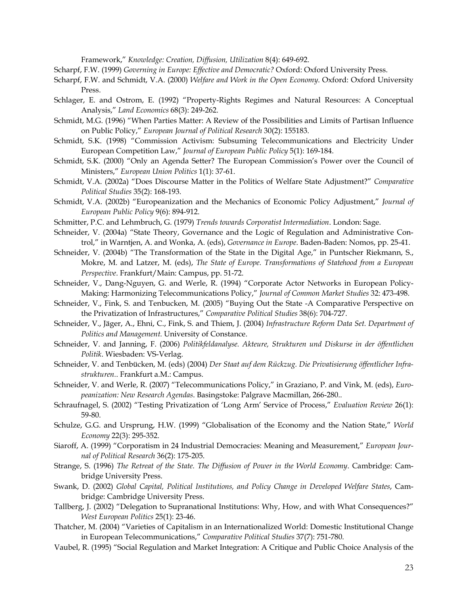Framework," *Knowledge: Creation, Diffusion, Utilization* 8(4): 649-692.

Scharpf, F.W. (1999) *Governing in Europe: Effective and Democratic?* Oxford: Oxford University Press.

- Scharpf, F.W. and Schmidt, V.A. (2000) *Welfare and Work in the Open Economy*. Oxford: Oxford University Press.
- Schlager, E. and Ostrom, E. (1992) "Property-Rights Regimes and Natural Resources: A Conceptual Analysis," *Land Economics* 68(3): 249-262.
- Schmidt, M.G. (1996) "When Parties Matter: A Review of the Possibilities and Limits of Partisan Influence on Public Policy," *European Journal of Political Research* 30(2): 155183.
- Schmidt, S.K. (1998) "Commission Activism: Subsuming Telecommunications and Electricity Under European Competition Law," *Journal of European Public Policy* 5(1): 169-184.
- Schmidt, S.K. (2000) "Only an Agenda Setter? The European Commission's Power over the Council of Ministers," *European Union Politics* 1(1): 37-61.
- Schmidt, V.A. (2002a) "Does Discourse Matter in the Politics of Welfare State Adjustment?" *Comparative Political Studies* 35(2): 168-193.
- Schmidt, V.A. (2002b) "Europeanization and the Mechanics of Economic Policy Adjustment," *Journal of European Public Policy* 9(6): 894-912.
- Schmitter, P.C. and Lehmbruch, G. (1979) *Trends towards Corporatist Intermediation*. London: Sage.
- Schneider, V. (2004a) "State Theory, Governance and the Logic of Regulation and Administrative Control," in Warntjen, A. and Wonka, A. (eds), *Governance in Europe*. Baden-Baden: Nomos, pp. 25-41.
- Schneider, V. (2004b) "The Transformation of the State in the Digital Age," in Puntscher Riekmann, S., Mokre, M. and Latzer, M. (eds), *The State of Europe. Transformations of Statehood from a European Perspective*. Frankfurt/Main: Campus, pp. 51-72.
- Schneider, V., Dang-Nguyen, G. and Werle, R. (1994) "Corporate Actor Networks in European Policy-Making: Harmonizing Telecommunications Policy," *Journal of Common Market Studies* 32: 473-498.
- Schneider, V., Fink, S. and Tenbucken, M. (2005) "Buying Out the State -A Comparative Perspective on the Privatization of Infrastructures," *Comparative Political Studies* 38(6): 704-727.
- Schneider, V., Jäger, A., Ehni, C., Fink, S. and Thiem, J. (2004) *Infrastructure Reform Data Set. Department of Politics and Management.* University of Constance.
- Schneider, V. and Janning, F. (2006) *Politikfeldanalyse. Akteure, Strukturen und Diskurse in der öffentlichen Politik*. Wiesbaden: VS-Verlag.
- Schneider, V. and Tenbücken, M. (eds) (2004) *Der Staat auf dem Rückzug. Die Privatisierung öffentlicher Infrastrukturen.*. Frankfurt a.M.: Campus.
- Schneider, V. and Werle, R. (2007) "Telecommunications Policy," in Graziano, P. and Vink, M. (eds), *Europeanization: New Research Agendas*. Basingstoke: Palgrave Macmillan, 266-280..
- Schraufnagel, S. (2002) "Testing Privatization of 'Long Arm' Service of Process," *Evaluation Review* 26(1): 59-80.
- Schulze, G.G. and Ursprung, H.W. (1999) "Globalisation of the Economy and the Nation State," *World Economy* 22(3): 295-352.
- Siaroff, A. (1999) "Corporatism in 24 Industrial Democracies: Meaning and Measurement," *European Journal of Political Research* 36(2): 175-205.
- Strange, S. (1996) *The Retreat of the State. The Diffusion of Power in the World Economy*. Cambridge: Cambridge University Press.
- Swank, D. (2002) *Global Capital, Political Institutions, and Policy Change in Developed Welfare States*, Cambridge: Cambridge University Press.
- Tallberg, J. (2002) "Delegation to Supranational Institutions: Why, How, and with What Consequences?" *West European Politics* 25(1): 23-46.
- Thatcher, M. (2004) "Varieties of Capitalism in an Internationalized World: Domestic Institutional Change in European Telecommunications," *Comparative Political Studies* 37(7): 751-780.
- Vaubel, R. (1995) "Social Regulation and Market Integration: A Critique and Public Choice Analysis of the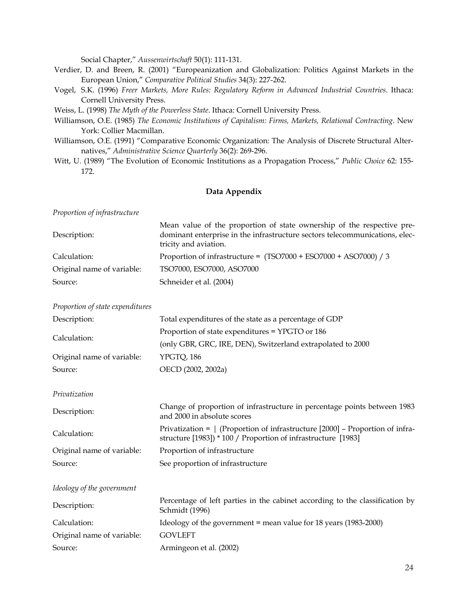Social Chapter," *Aussenwirtschaft* 50(1): 111-131.

- Verdier, D. and Breen, R. (2001) "Europeanization and Globalization: Politics Against Markets in the European Union," *Comparative Political Studies* 34(3): 227-262.
- Vogel, S.K. (1996) *Freer Markets, More Rules: Regulatory Reform in Advanced Industrial Countries*. Ithaca: Cornell University Press.
- Weiss, L. (1998) *The Myth of the Powerless State*. Ithaca: Cornell University Press.
- Williamson, O.E. (1985) *The Economic Institutions of Capitalism: Firms, Markets, Relational Contracting*. New York: Collier Macmillan.
- Williamson, O.E. (1991) "Comparative Economic Organization: The Analysis of Discrete Structural Alternatives," *Administrative Science Quarterly* 36(2): 269-296.
- Witt, U. (1989) "The Evolution of Economic Institutions as a Propagation Process," *Public Choice* 62: 155- 172.

## **Data Appendix**

*Proportion of infrastructure* 

| Description:               | Mean value of the proportion of state ownership of the respective pre-<br>dominant enterprise in the infrastructure sectors telecommunications, elec-<br>tricity and aviation. |
|----------------------------|--------------------------------------------------------------------------------------------------------------------------------------------------------------------------------|
| Calculation:               | Proportion of infrastructure = $(TSO7000 + ESO7000 + ASO7000) / 3$                                                                                                             |
| Original name of variable: | TSO7000, ESO7000, ASO7000                                                                                                                                                      |
| Source:                    | Schneider et al. (2004)                                                                                                                                                        |

*Proportion of state expenditures* 

| Description:               | Total expenditures of the state as a percentage of GDP      |
|----------------------------|-------------------------------------------------------------|
|                            | Proportion of state expenditures = YPGTO or 186             |
| Calculation:               | (only GBR, GRC, IRE, DEN), Switzerland extrapolated to 2000 |
| Original name of variable: | YPGTO, 186                                                  |
| Source:                    | OECD (2002, 2002a)                                          |

*Privatization* 

| Description:               | Change of proportion of infrastructure in percentage points between 1983<br>and 2000 in absolute scores                                              |
|----------------------------|------------------------------------------------------------------------------------------------------------------------------------------------------|
| Calculation:               | Privatization = $\vert$ (Proportion of infrastructure [2000] – Proportion of infra-<br>structure [1983]) * 100 / Proportion of infrastructure [1983] |
| Original name of variable: | Proportion of infrastructure                                                                                                                         |
| Source:                    | See proportion of infrastructure                                                                                                                     |

*Ideology of the government* 

| Description:               | Percentage of left parties in the cabinet according to the classification by<br>Schmidt (1996) |
|----------------------------|------------------------------------------------------------------------------------------------|
| Calculation:               | Ideology of the government = mean value for $18$ years (1983-2000)                             |
| Original name of variable: | <b>GOVLEFT</b>                                                                                 |
| Source:                    | Armingeon et al. (2002)                                                                        |